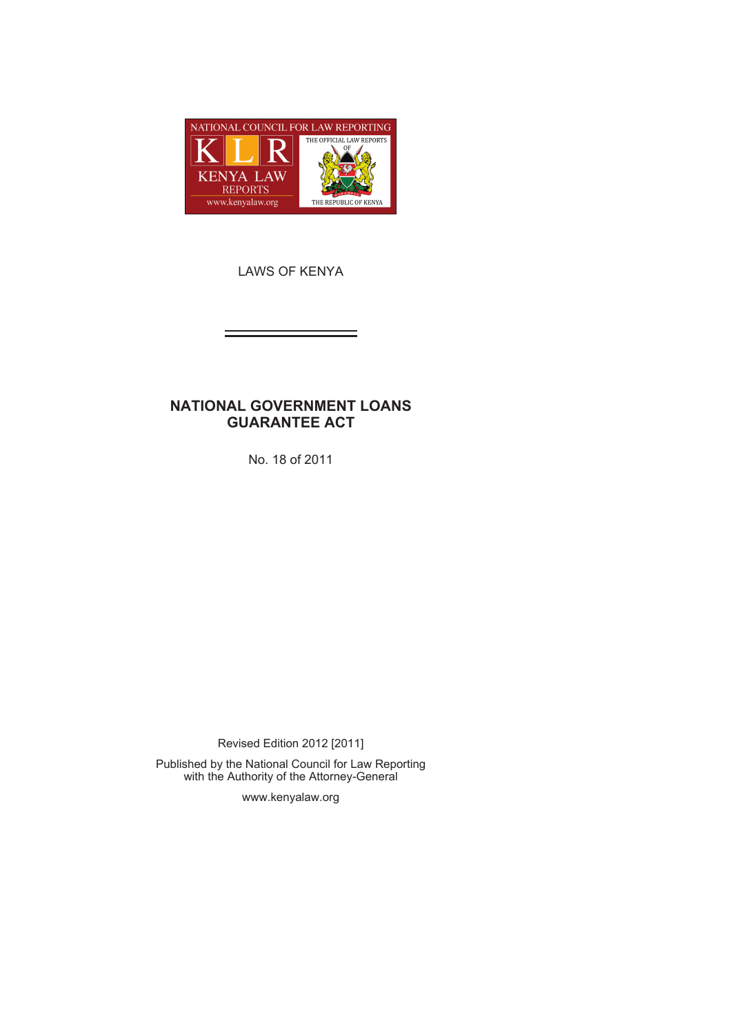

LAWS OF KENYA

# **NATIONAL GOVERNMENT LOANS GUARANTEE ACT**

No. 18 of 2011

Revised Edition 2012 [2011]

Published by the National Council for Law Reporting with the Authority of the Attorney-General

www.kenyalaw.org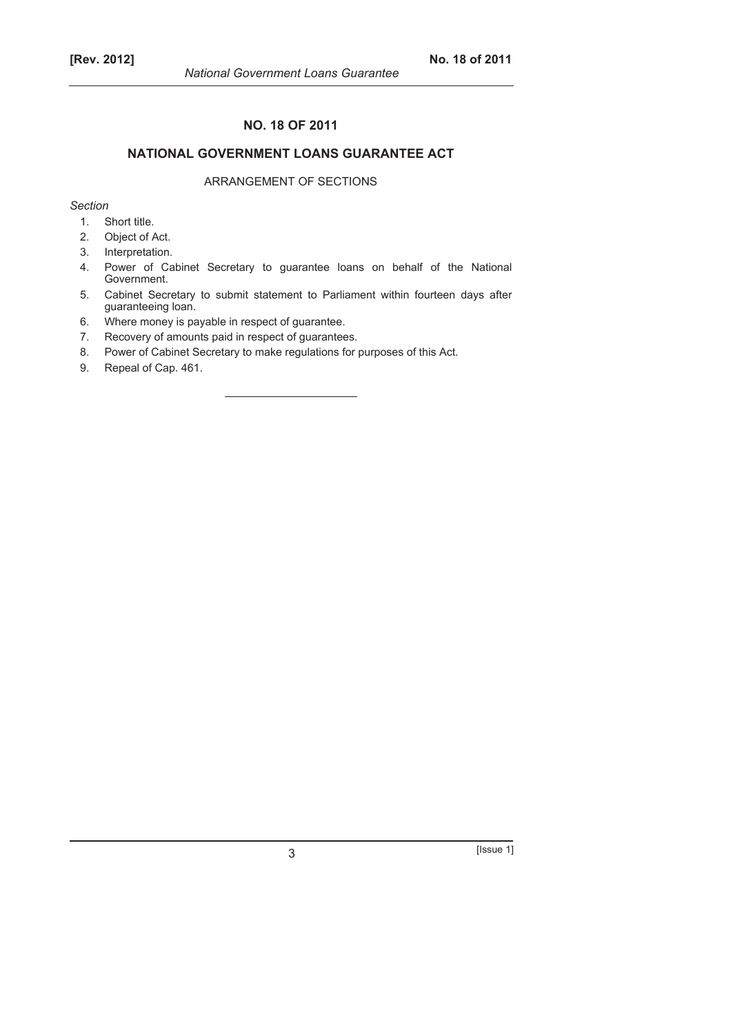# **NO. 18 OF 2011**

# **NATIONAL GOVERNMENT LOANS GUARANTEE ACT**

# ARRANGEMENT OF SECTIONS

*Section* 

- 1. Short title.
- 2. Object of Act.
- 3. Interpretation.
- 4. Power of Cabinet Secretary to guarantee loans on behalf of the National Government.
- 5. Cabinet Secretary to submit statement to Parliament within fourteen days after guaranteeing loan.
- 6. Where money is payable in respect of guarantee.
- 7. Recovery of amounts paid in respect of guarantees.
- 8. Power of Cabinet Secretary to make regulations for purposes of this Act.
- 9. Repeal of Cap. 461.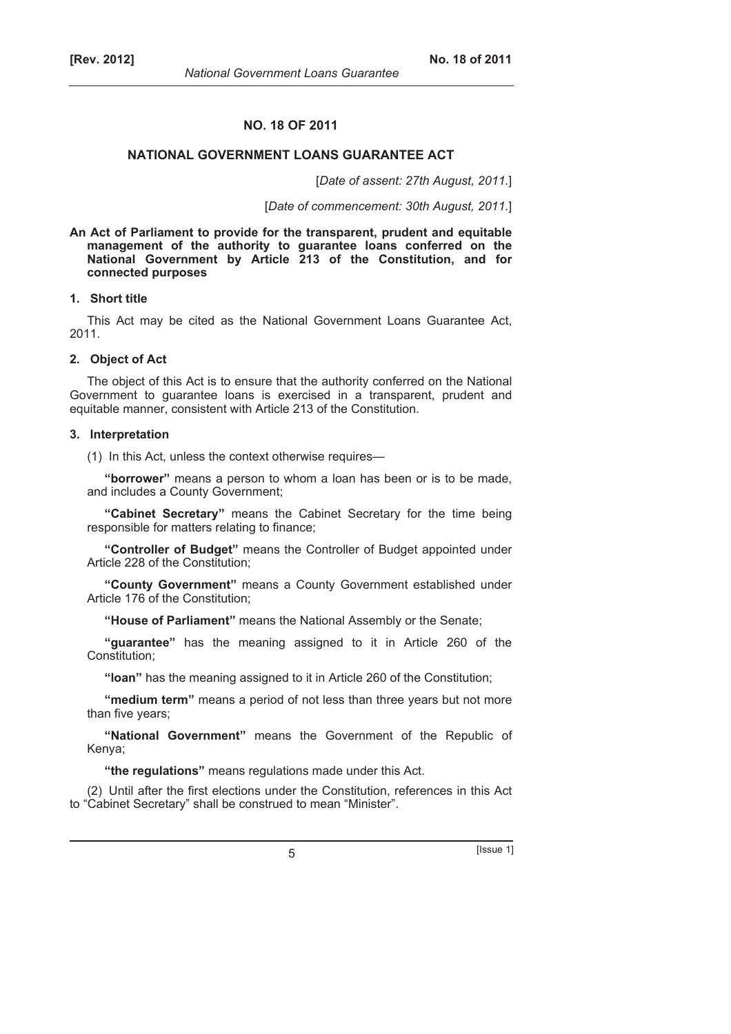# **NO. 18 OF 2011**

### **NATIONAL GOVERNMENT LOANS GUARANTEE ACT**

[*Date of assent: 27th August, 2011.*]

[*Date of commencement: 30th August, 2011.*]

**An Act of Parliament to provide for the transparent, prudent and equitable management of the authority to guarantee loans conferred on the National Government by Article 213 of the Constitution, and for connected purposes** 

#### **1. Short title**

This Act may be cited as the National Government Loans Guarantee Act, 2011.

# **2. Object of Act**

The object of this Act is to ensure that the authority conferred on the National Government to guarantee loans is exercised in a transparent, prudent and equitable manner, consistent with Article 213 of the Constitution.

#### **3. Interpretation**

(1) In this Act, unless the context otherwise requires—

**"borrower"** means a person to whom a loan has been or is to be made, and includes a County Government;

**"Cabinet Secretary"** means the Cabinet Secretary for the time being responsible for matters relating to finance;

**"Controller of Budget"** means the Controller of Budget appointed under Article 228 of the Constitution;

**"County Government"** means a County Government established under Article 176 of the Constitution;

**"House of Parliament"** means the National Assembly or the Senate;

**"guarantee"** has the meaning assigned to it in Article 260 of the Constitution;

**"loan"** has the meaning assigned to it in Article 260 of the Constitution;

**"medium term"** means a period of not less than three years but not more than five years;

**"National Government"** means the Government of the Republic of Kenya;

**"the regulations"** means regulations made under this Act.

(2) Until after the first elections under the Constitution, references in this Act to "Cabinet Secretary" shall be construed to mean "Minister".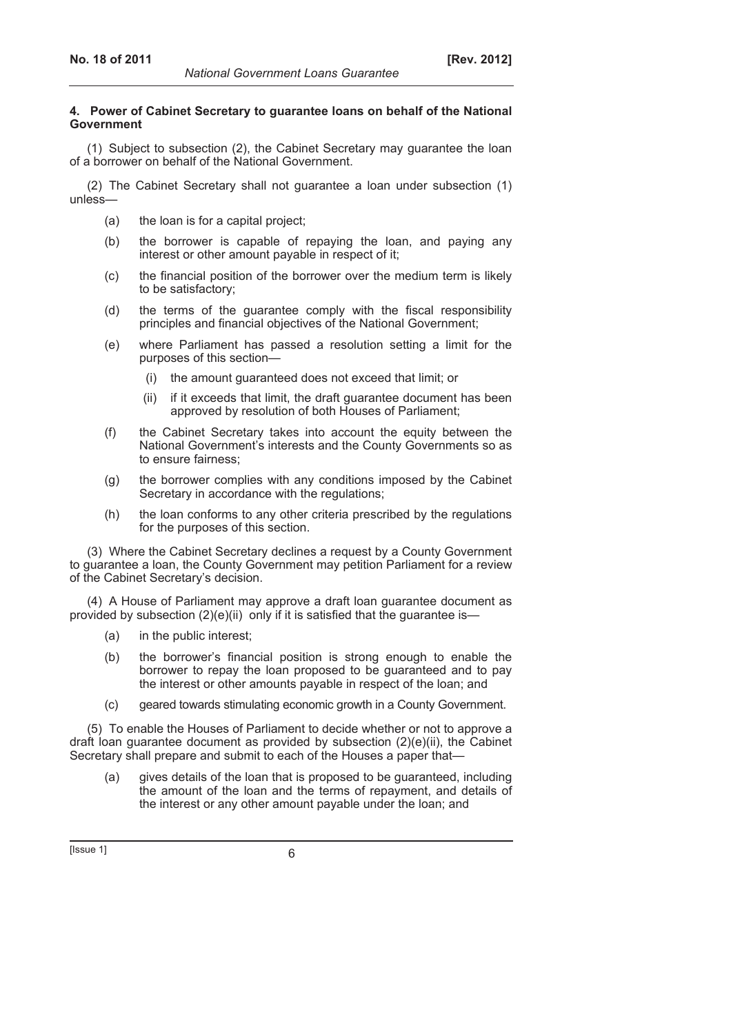# **4. Power of Cabinet Secretary to guarantee loans on behalf of the National Government**

(1) Subject to subsection (2), the Cabinet Secretary may guarantee the loan of a borrower on behalf of the National Government.

(2) The Cabinet Secretary shall not guarantee a loan under subsection (1) unless—

- (a) the loan is for a capital project;
- (b) the borrower is capable of repaying the loan, and paying any interest or other amount payable in respect of it;
- (c) the financial position of the borrower over the medium term is likely to be satisfactory;
- (d) the terms of the guarantee comply with the fiscal responsibility principles and financial objectives of the National Government;
- (e) where Parliament has passed a resolution setting a limit for the purposes of this section—
	- (i) the amount guaranteed does not exceed that limit; or
	- (ii) if it exceeds that limit, the draft guarantee document has been approved by resolution of both Houses of Parliament;
- (f) the Cabinet Secretary takes into account the equity between the National Government's interests and the County Governments so as to ensure fairness;
- (g) the borrower complies with any conditions imposed by the Cabinet Secretary in accordance with the regulations;
- (h) the loan conforms to any other criteria prescribed by the regulations for the purposes of this section.

(3) Where the Cabinet Secretary declines a request by a County Government to guarantee a loan, the County Government may petition Parliament for a review of the Cabinet Secretary's decision.

(4) A House of Parliament may approve a draft loan guarantee document as provided by subsection (2)(e)(ii) only if it is satisfied that the guarantee is—

- (a) in the public interest;
- (b) the borrower's financial position is strong enough to enable the borrower to repay the loan proposed to be guaranteed and to pay the interest or other amounts payable in respect of the loan; and
- (c) geared towards stimulating economic growth in a County Government.

(5) To enable the Houses of Parliament to decide whether or not to approve a draft loan guarantee document as provided by subsection (2)(e)(ii), the Cabinet Secretary shall prepare and submit to each of the Houses a paper that-

 (a) gives details of the loan that is proposed to be guaranteed, including the amount of the loan and the terms of repayment, and details of the interest or any other amount payable under the loan; and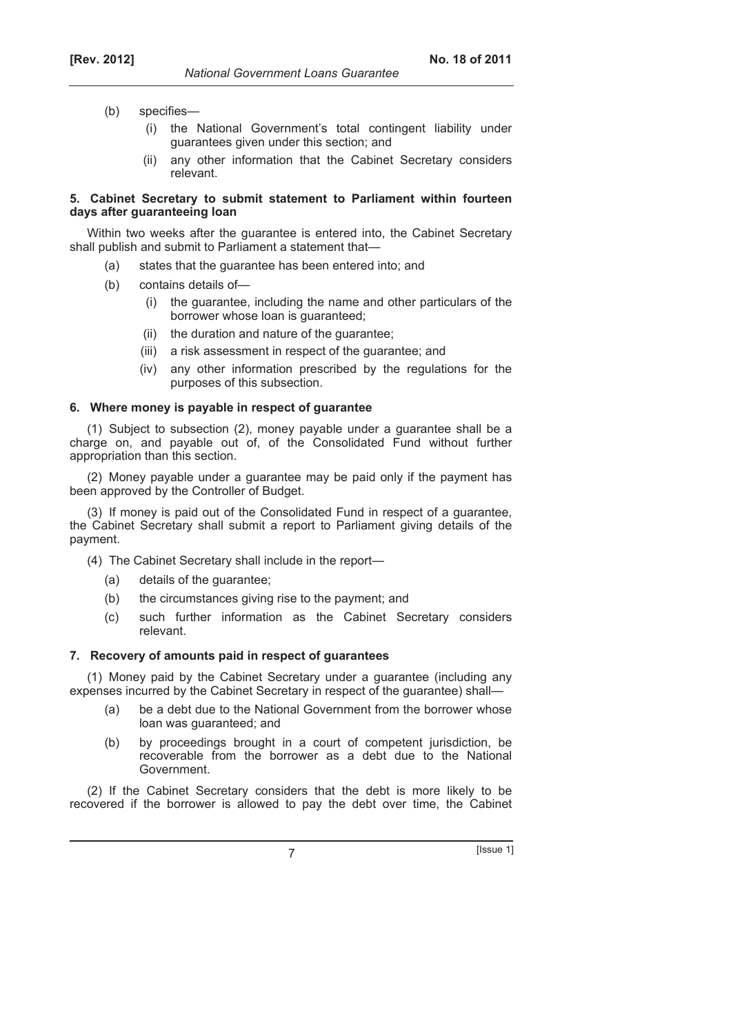- (b) specifies—
	- (i) the National Government's total contingent liability under guarantees given under this section; and
	- (ii) any other information that the Cabinet Secretary considers relevant.

# **5. Cabinet Secretary to submit statement to Parliament within fourteen days after guaranteeing loan**

*National Government Loans Guarantee* 

Within two weeks after the guarantee is entered into, the Cabinet Secretary shall publish and submit to Parliament a statement that—

- (a) states that the guarantee has been entered into; and
- (b) contains details of—
	- (i) the guarantee, including the name and other particulars of the borrower whose loan is guaranteed;
	- (ii) the duration and nature of the guarantee;
	- (iii) a risk assessment in respect of the guarantee; and
	- (iv) any other information prescribed by the regulations for the purposes of this subsection.

# **6. Where money is payable in respect of guarantee**

(1) Subject to subsection (2), money payable under a guarantee shall be a charge on, and payable out of, of the Consolidated Fund without further appropriation than this section.

(2) Money payable under a guarantee may be paid only if the payment has been approved by the Controller of Budget.

(3) If money is paid out of the Consolidated Fund in respect of a guarantee, the Cabinet Secretary shall submit a report to Parliament giving details of the payment.

- (4) The Cabinet Secretary shall include in the report—
	- (a) details of the guarantee;
	- (b) the circumstances giving rise to the payment; and
	- (c) such further information as the Cabinet Secretary considers relevant.

## **7. Recovery of amounts paid in respect of guarantees**

(1) Money paid by the Cabinet Secretary under a guarantee (including any expenses incurred by the Cabinet Secretary in respect of the guarantee) shall—

- (a) be a debt due to the National Government from the borrower whose loan was guaranteed; and
- (b) by proceedings brought in a court of competent jurisdiction, be recoverable from the borrower as a debt due to the National Government.

(2) If the Cabinet Secretary considers that the debt is more likely to be recovered if the borrower is allowed to pay the debt over time, the Cabinet